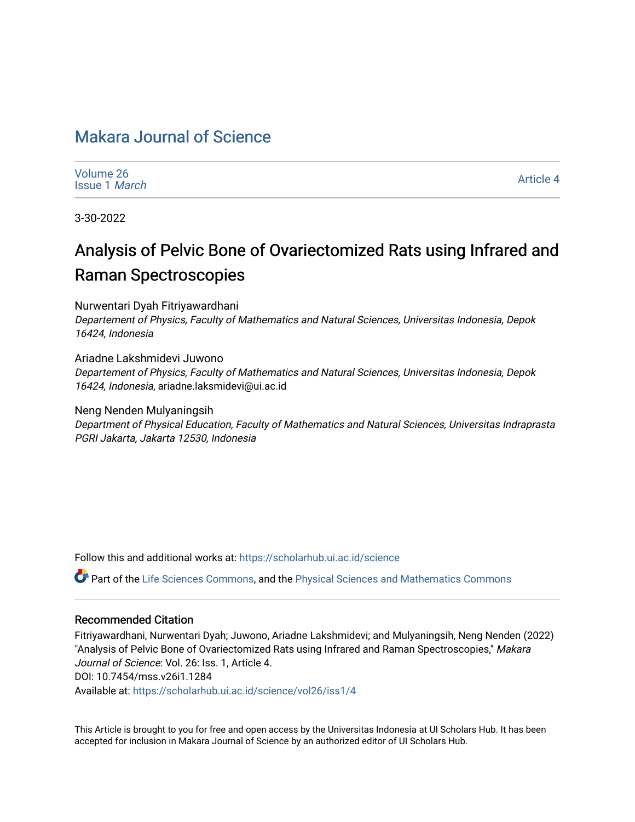# [Makara Journal of Science](https://scholarhub.ui.ac.id/science)

| Volume 26            |  |
|----------------------|--|
| <b>Issue 1 March</b> |  |

[Article 4](https://scholarhub.ui.ac.id/science/vol26/iss1/4) 

3-30-2022

# Analysis of Pelvic Bone of Ovariectomized Rats using Infrared and Raman Spectroscopies

Nurwentari Dyah Fitriyawardhani

Departement of Physics, Faculty of Mathematics and Natural Sciences, Universitas Indonesia, Depok 16424, Indonesia

Ariadne Lakshmidevi Juwono Departement of Physics, Faculty of Mathematics and Natural Sciences, Universitas Indonesia, Depok 16424, Indonesia, ariadne.laksmidevi@ui.ac.id

Neng Nenden Mulyaningsih Department of Physical Education, Faculty of Mathematics and Natural Sciences, Universitas Indraprasta PGRI Jakarta, Jakarta 12530, Indonesia

Follow this and additional works at: [https://scholarhub.ui.ac.id/science](https://scholarhub.ui.ac.id/science?utm_source=scholarhub.ui.ac.id%2Fscience%2Fvol26%2Fiss1%2F4&utm_medium=PDF&utm_campaign=PDFCoverPages) 

Part of the [Life Sciences Commons,](http://network.bepress.com/hgg/discipline/1016?utm_source=scholarhub.ui.ac.id%2Fscience%2Fvol26%2Fiss1%2F4&utm_medium=PDF&utm_campaign=PDFCoverPages) and the [Physical Sciences and Mathematics Commons](http://network.bepress.com/hgg/discipline/114?utm_source=scholarhub.ui.ac.id%2Fscience%2Fvol26%2Fiss1%2F4&utm_medium=PDF&utm_campaign=PDFCoverPages)

#### Recommended Citation

Fitriyawardhani, Nurwentari Dyah; Juwono, Ariadne Lakshmidevi; and Mulyaningsih, Neng Nenden (2022) "Analysis of Pelvic Bone of Ovariectomized Rats using Infrared and Raman Spectroscopies," Makara Journal of Science: Vol. 26: Iss. 1, Article 4. DOI: 10.7454/mss.v26i1.1284 Available at: [https://scholarhub.ui.ac.id/science/vol26/iss1/4](https://scholarhub.ui.ac.id/science/vol26/iss1/4?utm_source=scholarhub.ui.ac.id%2Fscience%2Fvol26%2Fiss1%2F4&utm_medium=PDF&utm_campaign=PDFCoverPages)

This Article is brought to you for free and open access by the Universitas Indonesia at UI Scholars Hub. It has been accepted for inclusion in Makara Journal of Science by an authorized editor of UI Scholars Hub.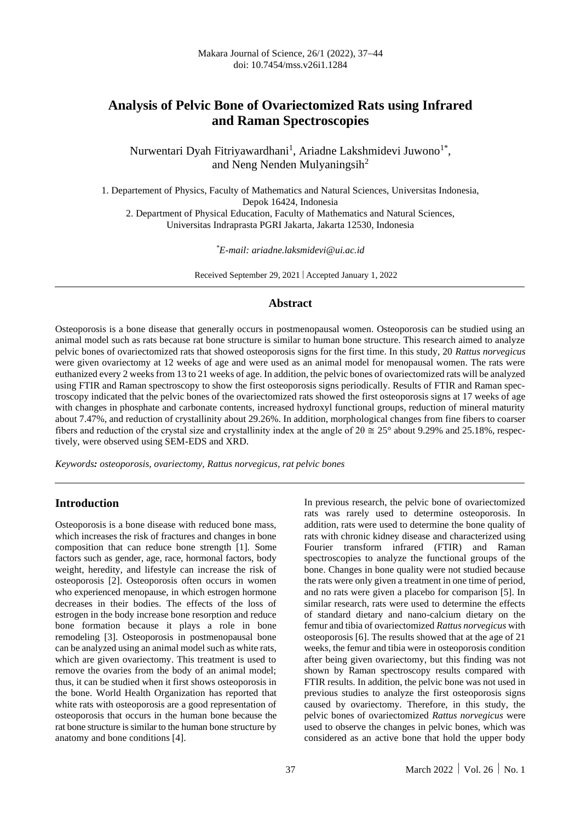# **Analysis of Pelvic Bone of Ovariectomized Rats using Infrared and Raman Spectroscopies**

Nurwentari Dyah Fitriyawardhani<sup>1</sup>, Ariadne Lakshmidevi Juwono<sup>1\*</sup>, and Neng Nenden Mulyaningsih $^2$ 

1. Departement of Physics, Faculty of Mathematics and Natural Sciences, Universitas Indonesia, Depok 16424, Indonesia 2. Department of Physical Education, Faculty of Mathematics and Natural Sciences,

Universitas Indraprasta PGRI Jakarta, Jakarta 12530, Indonesia

*\*E-mail: ariadne.laksmidevi@ui.ac.id*

Received September 29, 2021 | Accepted January 1, 2022

#### **Abstract**

Osteoporosis is a bone disease that generally occurs in postmenopausal women. Osteoporosis can be studied using an animal model such as rats because rat bone structure is similar to human bone structure. This research aimed to analyze pelvic bones of ovariectomized rats that showed osteoporosis signs for the first time. In this study, 20 *Rattus norvegicus* were given ovariectomy at 12 weeks of age and were used as an animal model for menopausal women. The rats were euthanized every 2 weeks from 13 to 21 weeks of age. In addition, the pelvic bones of ovariectomized rats will be analyzed using FTIR and Raman spectroscopy to show the first osteoporosis signs periodically. Results of FTIR and Raman spectroscopy indicated that the pelvic bones of the ovariectomized rats showed the first osteoporosis signs at 17 weeks of age with changes in phosphate and carbonate contents, increased hydroxyl functional groups, reduction of mineral maturity about 7.47%, and reduction of crystallinity about 29.26%. In addition, morphological changes from fine fibers to coarser fibers and reduction of the crystal size and crystallinity index at the angle of  $2\theta \approx 25^{\circ}$  about 9.29% and 25.18%, respectively, were observed using SEM-EDS and XRD.

*Keywords: osteoporosis, ovariectomy, Rattus norvegicus, rat pelvic bones*

#### **Introduction**

Osteoporosis is a bone disease with reduced bone mass, which increases the risk of fractures and changes in bone composition that can reduce bone strength [1]. Some factors such as gender, age, race, hormonal factors, body weight, heredity, and lifestyle can increase the risk of osteoporosis [2]. Osteoporosis often occurs in women who experienced menopause, in which estrogen hormone decreases in their bodies. The effects of the loss of estrogen in the body increase bone resorption and reduce bone formation because it plays a role in bone remodeling [3]. Osteoporosis in postmenopausal bone can be analyzed using an animal model such as white rats, which are given ovariectomy. This treatment is used to remove the ovaries from the body of an animal model; thus, it can be studied when it first shows osteoporosis in the bone. World Health Organization has reported that white rats with osteoporosis are a good representation of osteoporosis that occurs in the human bone because the rat bone structure is similar to the human bone structure by anatomy and bone conditions [4].

In previous research, the pelvic bone of ovariectomized rats was rarely used to determine osteoporosis. In addition, rats were used to determine the bone quality of rats with chronic kidney disease and characterized using Fourier transform infrared (FTIR) and Raman spectroscopies to analyze the functional groups of the bone. Changes in bone quality were not studied because the rats were only given a treatment in one time of period, and no rats were given a placebo for comparison [5]. In similar research, rats were used to determine the effects of standard dietary and nano-calcium dietary on the femur and tibia of ovariectomized *Rattus norvegicus* with osteoporosis [6]. The results showed that at the age of 21 weeks, the femur and tibia were in osteoporosis condition after being given ovariectomy, but this finding was not shown by Raman spectroscopy results compared with FTIR results. In addition, the pelvic bone was not used in previous studies to analyze the first osteoporosis signs caused by ovariectomy. Therefore, in this study, the pelvic bones of ovariectomized *Rattus norvegicus* were used to observe the changes in pelvic bones, which was considered as an active bone that hold the upper body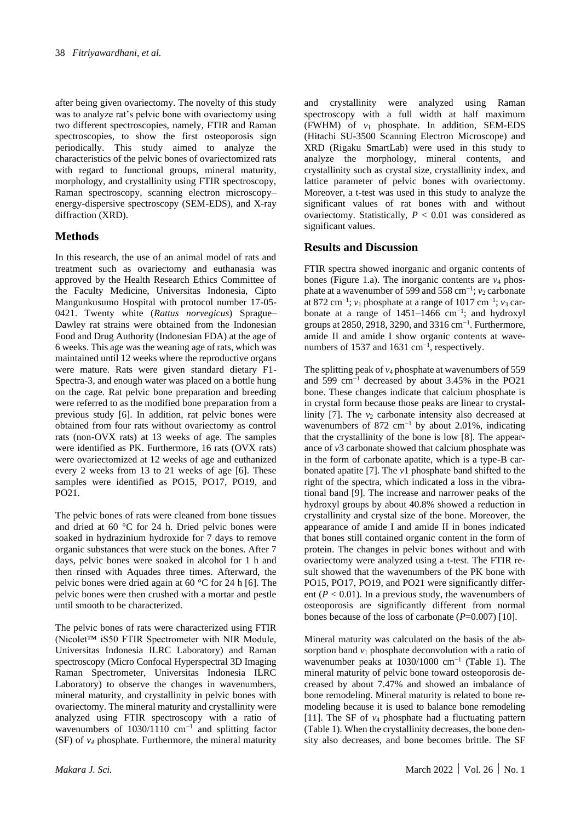after being given ovariectomy. The novelty of this study was to analyze rat's pelvic bone with ovariectomy using two different spectroscopies, namely, FTIR and Raman spectroscopies, to show the first osteoporosis sign periodically. This study aimed to analyze the characteristics of the pelvic bones of ovariectomized rats with regard to functional groups, mineral maturity, morphology, and crystallinity using FTIR spectroscopy, Raman spectroscopy, scanning electron microscopy– energy-dispersive spectroscopy (SEM-EDS), and X-ray diffraction (XRD).

### **Methods**

In this research, the use of an animal model of rats and treatment such as ovariectomy and euthanasia was approved by the Health Research Ethics Committee of the Faculty Medicine, Universitas Indonesia, Cipto Mangunkusumo Hospital with protocol number 17-05- 0421. Twenty white (*Rattus norvegicus*) Sprague– Dawley rat strains were obtained from the Indonesian Food and Drug Authority (Indonesian FDA) at the age of 6 weeks. This age was the weaning age of rats, which was maintained until 12 weeks where the reproductive organs were mature. Rats were given standard dietary F1- Spectra-3, and enough water was placed on a bottle hung on the cage. Rat pelvic bone preparation and breeding were referred to as the modified bone preparation from a previous study [6]. In addition, rat pelvic bones were obtained from four rats without ovariectomy as control rats (non-OVX rats) at 13 weeks of age. The samples were identified as PK. Furthermore, 16 rats (OVX rats) were ovariectomized at 12 weeks of age and euthanized every 2 weeks from 13 to 21 weeks of age [6]. These samples were identified as PO15, PO17, PO19, and PO21.

The pelvic bones of rats were cleaned from bone tissues and dried at 60 °C for 24 h. Dried pelvic bones were soaked in hydrazinium hydroxide for 7 days to remove organic substances that were stuck on the bones. After 7 days, pelvic bones were soaked in alcohol for 1 h and then rinsed with Aquades three times. Afterward, the pelvic bones were dried again at 60 °C for 24 h [6]. The pelvic bones were then crushed with a mortar and pestle until smooth to be characterized.

The pelvic bones of rats were characterized using FTIR (Nicolet™ iS50 FTIR Spectrometer with NIR Module, Universitas Indonesia ILRC Laboratory) and Raman spectroscopy (Micro Confocal Hyperspectral 3D Imaging Raman Spectrometer, Universitas Indonesia ILRC Laboratory) to observe the changes in wavenumbers, mineral maturity, and crystallinity in pelvic bones with ovariectomy. The mineral maturity and crystallinity were analyzed using FTIR spectroscopy with a ratio of wavenumbers of  $1030/1110$  cm<sup>-1</sup> and splitting factor (SF) of *v<sup>4</sup>* phosphate. Furthermore, the mineral maturity

and crystallinity were analyzed using Raman spectroscopy with a full width at half maximum  $(FWHM)$  of  $v_1$  phosphate. In addition, SEM-EDS (Hitachi SU-3500 Scanning Electron Microscope) and XRD (Rigaku SmartLab) were used in this study to analyze the morphology, mineral contents, and crystallinity such as crystal size, crystallinity index, and lattice parameter of pelvic bones with ovariectomy. Moreover, a t-test was used in this study to analyze the significant values of rat bones with and without ovariectomy. Statistically,  $P < 0.01$  was considered as significant values.

### **Results and Discussion**

FTIR spectra showed inorganic and organic contents of bones (Figure 1.a). The inorganic contents are  $v_4$  phosphate at a wavenumber of 599 and 558 cm<sup>-1</sup>; *v*<sub>2</sub> carbonate at 872 cm−1 ; *v*<sup>1</sup> phosphate at a range of 1017 cm−1 ; *v*<sup>3</sup> carbonate at a range of 1451–1466 cm−1 ; and hydroxyl groups at 2850, 2918, 3290, and 3316 cm<sup>-1</sup>. Furthermore, amide II and amide I show organic contents at wavenumbers of 1537 and 1631 cm<sup>-1</sup>, respectively.

The splitting peak of  $v_4$  phosphate at wavenumbers of 559 and 599 cm−1 decreased by about 3.45% in the PO21 bone. These changes indicate that calcium phosphate is in crystal form because those peaks are linear to crystallinity  $[7]$ . The  $v_2$  carbonate intensity also decreased at wavenumbers of 872 cm<sup>-1</sup> by about 2.01%, indicating that the crystallinity of the bone is low [8]. The appearance of *v*3 carbonate showed that calcium phosphate was in the form of carbonate apatite, which is a type-B carbonated apatite [7]. The *v*1 phosphate band shifted to the right of the spectra, which indicated a loss in the vibrational band [9]. The increase and narrower peaks of the hydroxyl groups by about 40.8% showed a reduction in crystallinity and crystal size of the bone. Moreover, the appearance of amide I and amide II in bones indicated that bones still contained organic content in the form of protein. The changes in pelvic bones without and with ovariectomy were analyzed using a t-test. The FTIR result showed that the wavenumbers of the PK bone with PO15, PO17, PO19, and PO21 were significantly different  $(P < 0.01)$ . In a previous study, the wavenumbers of osteoporosis are significantly different from normal bones because of the loss of carbonate (*P*=0.007) [10].

Mineral maturity was calculated on the basis of the absorption band  $v_1$  phosphate deconvolution with a ratio of wavenumber peaks at  $1030/1000$  cm<sup>-1</sup> (Table 1). The mineral maturity of pelvic bone toward osteoporosis decreased by about 7.47% and showed an imbalance of bone remodeling. Mineral maturity is related to bone remodeling because it is used to balance bone remodeling [11]. The SF of  $v_4$  phosphate had a fluctuating pattern (Table 1). When the crystallinity decreases, the bone density also decreases, and bone becomes brittle. The SF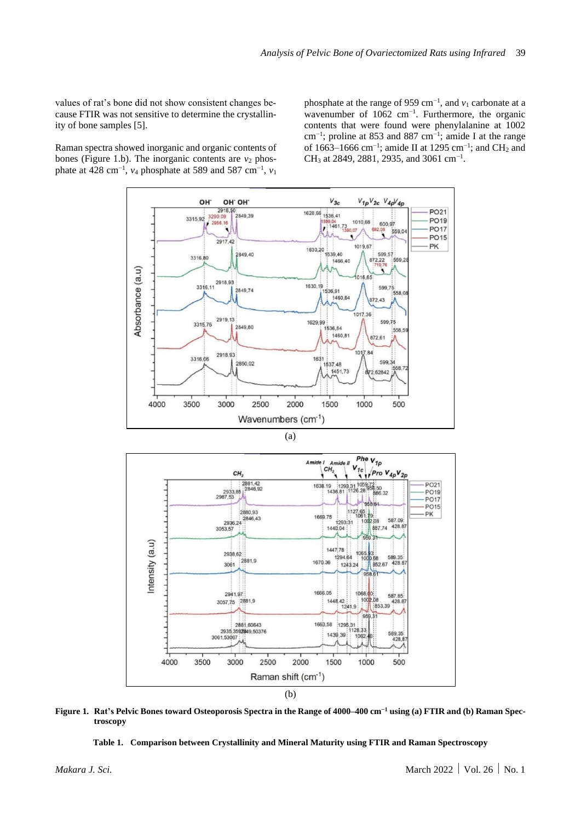values of rat's bone did not show consistent changes because FTIR was not sensitive to determine the crystallinity of bone samples [5].

Raman spectra showed inorganic and organic contents of bones (Figure 1.b). The inorganic contents are  $v_2$  phosphate at 428 cm<sup>-1</sup>, *v*<sub>4</sub> phosphate at 589 and 587 cm<sup>-1</sup>, *v*<sub>1</sub>

phosphate at the range of 959 cm<sup>-1</sup>, and  $v_1$  carbonate at a wavenumber of 1062 cm<sup>-1</sup>. Furthermore, the organic contents that were found were phenylalanine at 1002 cm−1 ; proline at 853 and 887 cm−1 ; amide I at the range of 1663–1666 cm<sup>-1</sup>; amide II at 1295 cm<sup>-1</sup>; and CH<sub>2</sub> and CH<sub>3</sub> at 2849, 2881, 2935, and 3061 cm<sup>-1</sup>.







**Figure 1. Rat's Pelvic Bones toward Osteoporosis Spectra in the Range of 4000–400 cm−1 using (a) FTIR and (b) Raman Spectroscopy**

**Table 1. Comparison between Crystallinity and Mineral Maturity using FTIR and Raman Spectroscopy**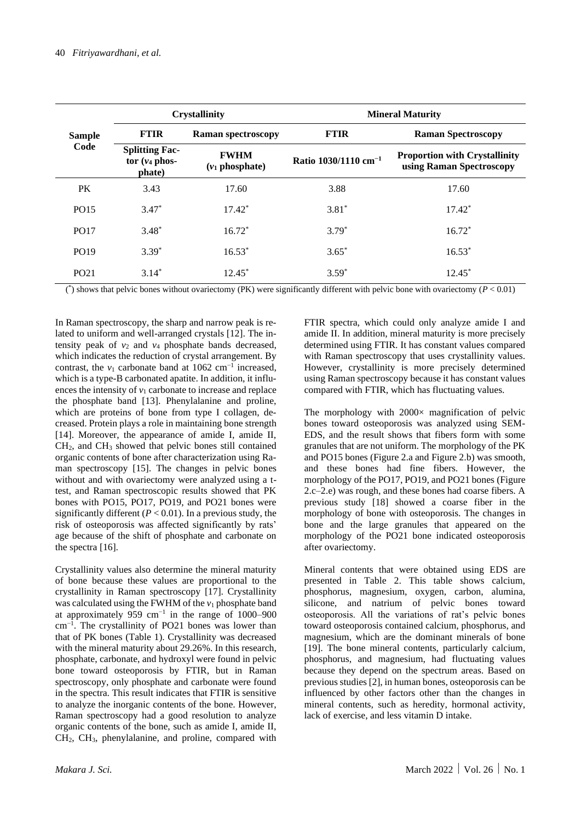| <b>Sample</b><br>Code |                                                     | <b>Crystallinity</b>              | <b>Mineral Maturity</b>          |                                                                                               |  |  |
|-----------------------|-----------------------------------------------------|-----------------------------------|----------------------------------|-----------------------------------------------------------------------------------------------|--|--|
|                       | <b>FTIR</b>                                         | <b>Raman spectroscopy</b>         | <b>FTIR</b>                      | <b>Raman Spectroscopy</b><br><b>Proportion with Crystallinity</b><br>using Raman Spectroscopy |  |  |
|                       | <b>Splitting Fac-</b><br>tor $(v_4$ phos-<br>phate) | <b>FWHM</b><br>$(v_1)$ phosphate) | Ratio 1030/1110 cm <sup>-1</sup> |                                                                                               |  |  |
| <b>PK</b>             | 3.43                                                | 17.60                             | 3.88                             | 17.60                                                                                         |  |  |
| PO15                  | $3.47*$                                             | $17.42*$                          | $3.81*$                          | $17.42*$                                                                                      |  |  |
| PO17                  | $3.48*$                                             | $16.72*$                          | $3.79*$                          | $16.72*$                                                                                      |  |  |
| PO19                  | $3.39*$                                             | $16.53*$                          | $3.65*$                          | $16.53*$                                                                                      |  |  |
| PO <sub>21</sub>      | $3.14*$                                             | $12.45*$                          | $3.59*$                          | $12.45*$                                                                                      |  |  |

( \* ) shows that pelvic bones without ovariectomy (PK) were significantly different with pelvic bone with ovariectomy (*P* < 0.01)

In Raman spectroscopy, the sharp and narrow peak is related to uniform and well-arranged crystals [12]. The intensity peak of  $v_2$  and  $v_4$  phosphate bands decreased, which indicates the reduction of crystal arrangement. By contrast, the  $v_1$  carbonate band at 1062 cm<sup>-1</sup> increased, which is a type-B carbonated apatite. In addition, it influences the intensity of  $v_1$  carbonate to increase and replace the phosphate band [13]. Phenylalanine and proline, which are proteins of bone from type I collagen, decreased. Protein plays a role in maintaining bone strength [14]. Moreover, the appearance of amide I, amide II, CH2, and CH<sup>3</sup> showed that pelvic bones still contained organic contents of bone after characterization using Raman spectroscopy [15]. The changes in pelvic bones without and with ovariectomy were analyzed using a ttest, and Raman spectroscopic results showed that PK bones with PO15, PO17, PO19, and PO21 bones were significantly different  $(P < 0.01)$ . In a previous study, the risk of osteoporosis was affected significantly by rats' age because of the shift of phosphate and carbonate on the spectra [16].

Crystallinity values also determine the mineral maturity of bone because these values are proportional to the crystallinity in Raman spectroscopy [17]. Crystallinity was calculated using the FWHM of the *v*<sup>1</sup> phosphate band at approximately 959  $cm^{-1}$  in the range of 1000–900 cm−1 . The crystallinity of PO21 bones was lower than that of PK bones (Table 1). Crystallinity was decreased with the mineral maturity about 29.26%. In this research, phosphate, carbonate, and hydroxyl were found in pelvic bone toward osteoporosis by FTIR, but in Raman spectroscopy, only phosphate and carbonate were found in the spectra. This result indicates that FTIR is sensitive to analyze the inorganic contents of the bone. However, Raman spectroscopy had a good resolution to analyze organic contents of the bone, such as amide I, amide II, CH2, CH3, phenylalanine, and proline, compared with

FTIR spectra, which could only analyze amide I and amide II. In addition, mineral maturity is more precisely determined using FTIR. It has constant values compared with Raman spectroscopy that uses crystallinity values. However, crystallinity is more precisely determined using Raman spectroscopy because it has constant values compared with FTIR, which has fluctuating values.

The morphology with  $2000\times$  magnification of pelvic bones toward osteoporosis was analyzed using SEM-EDS, and the result shows that fibers form with some granules that are not uniform. The morphology of the PK and PO15 bones (Figure 2.a and Figure 2.b) was smooth, and these bones had fine fibers. However, the morphology of the PO17, PO19, and PO21 bones (Figure 2.c–2.e) was rough, and these bones had coarse fibers. A previous study [18] showed a coarse fiber in the morphology of bone with osteoporosis. The changes in bone and the large granules that appeared on the morphology of the PO21 bone indicated osteoporosis after ovariectomy.

Mineral contents that were obtained using EDS are presented in Table 2. This table shows calcium, phosphorus, magnesium, oxygen, carbon, alumina, silicone, and natrium of pelvic bones toward osteoporosis. All the variations of rat's pelvic bones toward osteoporosis contained calcium, phosphorus, and magnesium, which are the dominant minerals of bone [19]. The bone mineral contents, particularly calcium, phosphorus, and magnesium, had fluctuating values because they depend on the spectrum areas. Based on previous studies [2], in human bones, osteoporosis can be influenced by other factors other than the changes in mineral contents, such as heredity, hormonal activity, lack of exercise, and less vitamin D intake.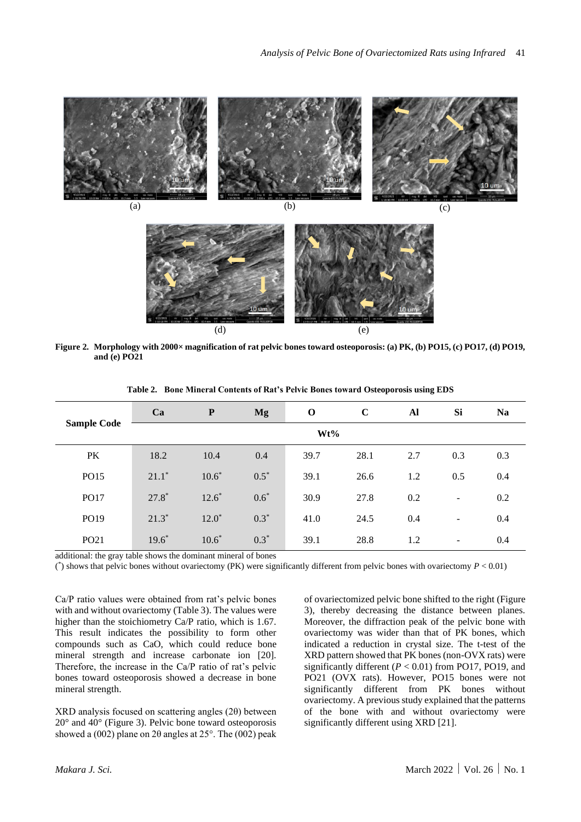(a)  $(b)$  (c)



**Figure 2. Morphology with 2000× magnification of rat pelvic bones toward osteoporosis: (a) PK, (b) PO15, (c) PO17, (d) PO19, and (e) PO21**

| <b>Sample Code</b> | Ca      | $\mathbf{P}$ | <b>Mg</b> | $\mathbf 0$ | $\mathbf C$ | Al  | Si                       | <b>Na</b> |
|--------------------|---------|--------------|-----------|-------------|-------------|-----|--------------------------|-----------|
|                    | Wt%     |              |           |             |             |     |                          |           |
| PK                 | 18.2    | 10.4         | 0.4       | 39.7        | 28.1        | 2.7 | 0.3                      | 0.3       |
| PO15               | $21.1*$ | $10.6*$      | $0.5*$    | 39.1        | 26.6        | 1.2 | 0.5                      | 0.4       |
| PO17               | $27.8*$ | $12.6*$      | $0.6*$    | 30.9        | 27.8        | 0.2 | $\qquad \qquad -$        | 0.2       |
| PO19               | $21.3*$ | $12.0*$      | $0.3*$    | 41.0        | 24.5        | 0.4 | $\overline{\phantom{a}}$ | 0.4       |
| PO <sub>21</sub>   | $19.6*$ | $10.6*$      | $0.3*$    | 39.1        | 28.8        | 1.2 | $\overline{\phantom{a}}$ | 0.4       |

**Table 2. Bone Mineral Contents of Rat's Pelvic Bones toward Osteoporosis using EDS**

additional: the gray table shows the dominant mineral of bones

 $(*)$  shows that pelvic bones without ovariectomy (PK) were significantly different from pelvic bones with ovariectomy  $P < 0.01$ )

Ca/P ratio values were obtained from rat's pelvic bones with and without ovariectomy (Table 3). The values were higher than the stoichiometry Ca/P ratio, which is 1.67. This result indicates the possibility to form other compounds such as CaO, which could reduce bone mineral strength and increase carbonate ion [20]. Therefore, the increase in the Ca/P ratio of rat's pelvic bones toward osteoporosis showed a decrease in bone mineral strength.

XRD analysis focused on scattering angles (2θ) between  $20^{\circ}$  and  $40^{\circ}$  (Figure 3). Pelvic bone toward osteoporosis showed a (002) plane on  $2\theta$  angles at  $25^{\circ}$ . The (002) peak of ovariectomized pelvic bone shifted to the right (Figure 3), thereby decreasing the distance between planes. Moreover, the diffraction peak of the pelvic bone with ovariectomy was wider than that of PK bones, which indicated a reduction in crystal size. The t-test of the XRD pattern showed that PK bones (non-OVX rats) were significantly different (*P* < 0.01) from PO17, PO19, and PO21 (OVX rats). However, PO15 bones were not significantly different from PK bones without ovariectomy. A previous study explained that the patterns of the bone with and without ovariectomy were significantly different using XRD [21].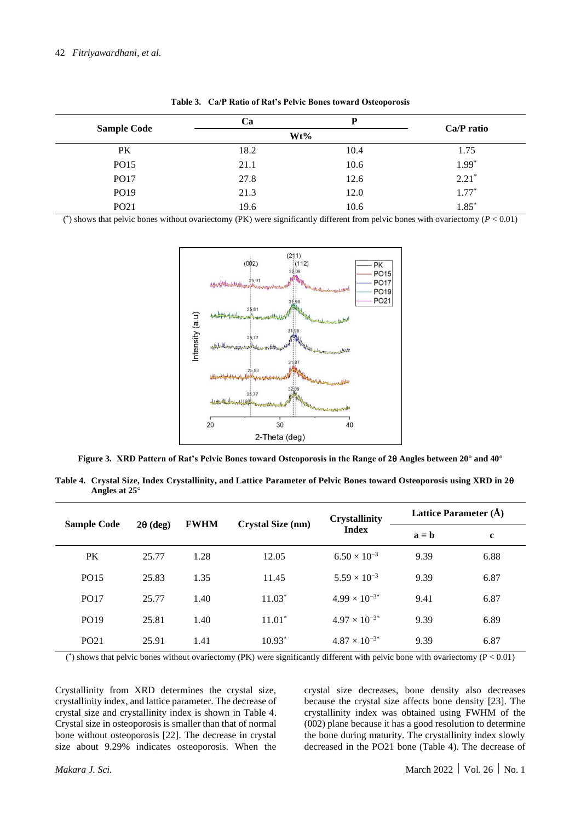|                    | Ca   | D      | Ca/P ratio |  |
|--------------------|------|--------|------------|--|
| <b>Sample Code</b> |      | $Wt\%$ |            |  |
| PK                 | 18.2 | 10.4   | 1.75       |  |
| PO15               | 21.1 | 10.6   | $1.99*$    |  |
| PO17               | 27.8 | 12.6   | $2.21*$    |  |
| PO19               | 21.3 | 12.0   | $1.77*$    |  |
| PO <sub>21</sub>   | 19.6 | 10.6   | $1.85*$    |  |

**Table 3. Ca/P Ratio of Rat's Pelvic Bones toward Osteoporosis**

( \* ) shows that pelvic bones without ovariectomy (PK) were significantly different from pelvic bones with ovariectomy (*P* < 0.01)



**Figure 3. XRD Pattern of Rat's Pelvic Bones toward Osteoporosis in the Range of 2 Angles between 20° and 40°**

**Table 4. Crystal Size, Index Crystallinity, and Lattice Parameter of Pelvic Bones toward Osteoporosis using XRD in 2 Angles at 25°**

| <b>Sample Code</b> | $2\theta$ (deg) | <b>FWHM</b> | Crystal Size (nm) | <b>Crystallinity</b><br><b>Index</b> | Lattice Parameter (Å) |             |
|--------------------|-----------------|-------------|-------------------|--------------------------------------|-----------------------|-------------|
|                    |                 |             |                   |                                      | $a = b$               | $\mathbf c$ |
| <b>PK</b>          | 25.77           | 1.28        | 12.05             | $6.50 \times 10^{-3}$                | 9.39                  | 6.88        |
| PO15               | 25.83           | 1.35        | 11.45             | $5.59 \times 10^{-3}$                | 9.39                  | 6.87        |
| <b>PO17</b>        | 25.77           | 1.40        | $11.03*$          | $4.99 \times 10^{-3*}$               | 9.41                  | 6.87        |
| PO19               | 25.81           | 1.40        | $11.01*$          | $4.97 \times 10^{-3*}$               | 9.39                  | 6.89        |
| PO <sub>21</sub>   | 25.91           | 1.41        | $10.93*$          | $4.87 \times 10^{-3*}$               | 9.39                  | 6.87        |

(\*) shows that pelvic bones without ovariectomy (PK) were significantly different with pelvic bone with ovariectomy ( $P < 0.01$ )

Crystallinity from XRD determines the crystal size, crystallinity index, and lattice parameter. The decrease of crystal size and crystallinity index is shown in Table 4. Crystal size in osteoporosis is smaller than that of normal bone without osteoporosis [22]. The decrease in crystal size about 9.29% indicates osteoporosis. When the crystal size decreases, bone density also decreases because the crystal size affects bone density [23]. The crystallinity index was obtained using FWHM of the (002) plane because it has a good resolution to determine the bone during maturity. The crystallinity index slowly decreased in the PO21 bone (Table 4). The decrease of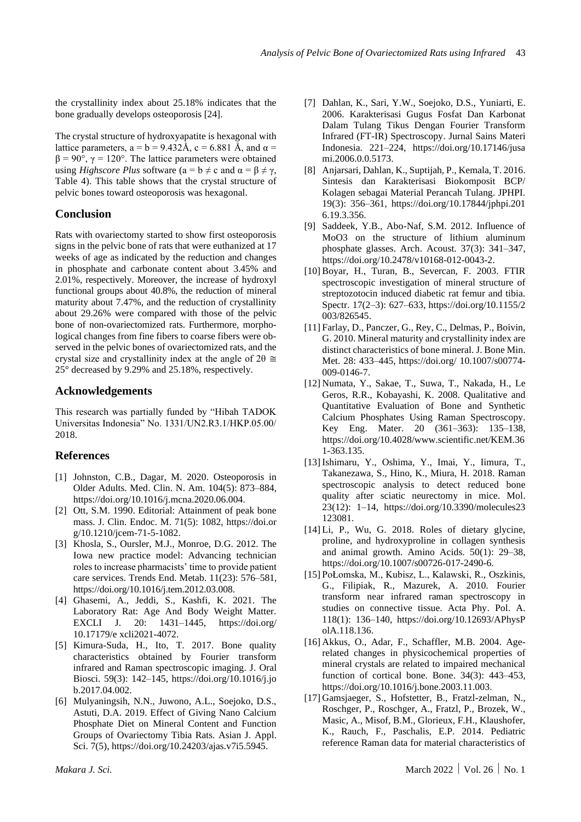the crystallinity index about 25.18% indicates that the bone gradually develops osteoporosis [24].

The crystal structure of hydroxyapatite is hexagonal with lattice parameters,  $a = b = 9.432 \text{\AA}$ ,  $c = 6.881 \text{\AA}$ , and  $\alpha =$  $β = 90°$ , γ = 120°. The lattice parameters were obtained using *Highscore Plus* software  $(a = b \neq c \text{ and } \alpha = \beta \neq \gamma$ , Table 4). This table shows that the crystal structure of pelvic bones toward osteoporosis was hexagonal.

### **Conclusion**

Rats with ovariectomy started to show first osteoporosis signs in the pelvic bone of rats that were euthanized at 17 weeks of age as indicated by the reduction and changes in phosphate and carbonate content about 3.45% and 2.01%, respectively. Moreover, the increase of hydroxyl functional groups about 40.8%, the reduction of mineral maturity about 7.47%, and the reduction of crystallinity about 29.26% were compared with those of the pelvic bone of non-ovariectomized rats. Furthermore, morphological changes from fine fibers to coarse fibers were observed in the pelvic bones of ovariectomized rats, and the crystal size and crystallinity index at the angle of  $2\theta \approx$ 25° decreased by 9.29% and 25.18%, respectively.

#### **Acknowledgements**

This research was partially funded by "Hibah TADOK Universitas Indonesia" No. 1331/UN2.R3.1/HKP.05.00/ 2018.

## **References**

- [1] Johnston, C.B., Dagar, M. 2020. Osteoporosis in Older Adults. Med. Clin. N. Am. 104(5): 873–884, https://doi.org/10.1016/j.mcna.2020.06.004.
- [2] Ott, S.M. 1990. Editorial: Attainment of peak bone mass. J. Clin. Endoc. M. 71(5): 1082, https://doi.or g/10.1210/jcem-71-5-1082.
- [3] Khosla, S., Oursler, M.J., Monroe, D.G. 2012. The Iowa new practice model: Advancing technician roles to increase pharmacists' time to provide patient care services. Trends End. Metab. 11(23): 576–581, https://doi.org/10.1016/j.tem.2012.03.008.
- [4] Ghasemi, A., Jeddi, S., Kashfi, K. 2021. The Laboratory Rat: Age And Body Weight Matter. EXCLI J. 20: 1431–1445, https://doi.org/ 10.17179/e xcli2021-4072.
- [5] Kimura-Suda, H., Ito, T. 2017. Bone quality characteristics obtained by Fourier transform infrared and Raman spectroscopic imaging. J. Oral Biosci. 59(3): 142–145, https://doi.org/10.1016/j.jo b.2017.04.002.
- [6] Mulyaningsih, N.N., Juwono, A.L., Soejoko, D.S., Astuti, D.A. 2019. Effect of Giving Nano Calcium Phosphate Diet on Mineral Content and Function Groups of Ovariectomy Tibia Rats. Asian J. Appl. Sci. 7(5), https://doi.org/10.24203/ajas.v7i5.5945.
- [7] Dahlan, K., Sari, Y.W., Soejoko, D.S., Yuniarti, E. 2006. Karakterisasi Gugus Fosfat Dan Karbonat Dalam Tulang Tikus Dengan Fourier Transform Infrared (FT-IR) Spectroscopy. Jurnal Sains Materi Indonesia. 221–224, https://doi.org/10.17146/jusa mi.2006.0.0.5173.
- [8] Anjarsari, Dahlan, K., Suptijah, P., Kemala, T. 2016. Sintesis dan Karakterisasi Biokomposit BCP/ Kolagen sebagai Material Perancah Tulang. JPHPI. 19(3): 356–361, https://doi.org/10.17844/jphpi.201 6.19.3.356.
- [9] Saddeek, Y.B., Abo-Naf, S.M. 2012. Influence of MoO3 on the structure of lithium aluminum phosphate glasses. Arch. Acoust. 37(3): 341–347, https://doi.org/10.2478/v10168-012-0043-2.
- [10] Boyar, H., Turan, B., Severcan, F. 2003. FTIR spectroscopic investigation of mineral structure of streptozotocin induced diabetic rat femur and tibia. Spectr. 17(2–3): 627–633, https://doi.org/10.1155/2 003/826545.
- [11] Farlay, D., Panczer, G., Rey, C., Delmas, P., Boivin, G. 2010. Mineral maturity and crystallinity index are distinct characteristics of bone mineral. J. Bone Min. Met. 28: 433–445, https://doi.org/ 10.1007/s00774- 009-0146-7.
- [12] Numata, Y., Sakae, T., Suwa, T., Nakada, H., Le Geros, R.R., Kobayashi, K. 2008. Qualitative and Quantitative Evaluation of Bone and Synthetic Calcium Phosphates Using Raman Spectroscopy. Key Eng. Mater. 20 (361–363): 135–138, https://doi.org/10.4028/www.scientific.net/KEM.36 1-363.135.
- [13] Ishimaru, Y., Oshima, Y., Imai, Y., Iimura, T., Takanezawa, S., Hino, K., Miura, H. 2018. Raman spectroscopic analysis to detect reduced bone quality after sciatic neurectomy in mice. Mol. 23(12): 1–14, https://doi.org/10.3390/molecules23 123081.
- [14] Li, P., Wu, G. 2018. Roles of dietary glycine, proline, and hydroxyproline in collagen synthesis and animal growth. Amino Acids. 50(1): 29–38, https://doi.org/10.1007/s00726-017-2490-6.
- [15] PoŁomska, M., Kubisz, L., Kalawski, R., Oszkinis, G., Filipiak, R., Mazurek, A. 2010. Fourier transform near infrared raman spectroscopy in studies on connective tissue. Acta Phy. Pol. A. 118(1): 136–140, https://doi.org/10.12693/APhysP olA.118.136.
- [16] Akkus, O., Adar, F., Schaffler, M.B. 2004. Agerelated changes in physicochemical properties of mineral crystals are related to impaired mechanical function of cortical bone. Bone. 34(3): 443–453, https://doi.org/10.1016/j.bone.2003.11.003.
- [17] Gamsjaeger, S., Hofstetter, B., Fratzl-zelman, N., Roschger, P., Roschger, A., Fratzl, P., Brozek, W., Masic, A., Misof, B.M., Glorieux, F.H., Klaushofer, K., Rauch, F., Paschalis, E.P. 2014. Pediatric reference Raman data for material characteristics of